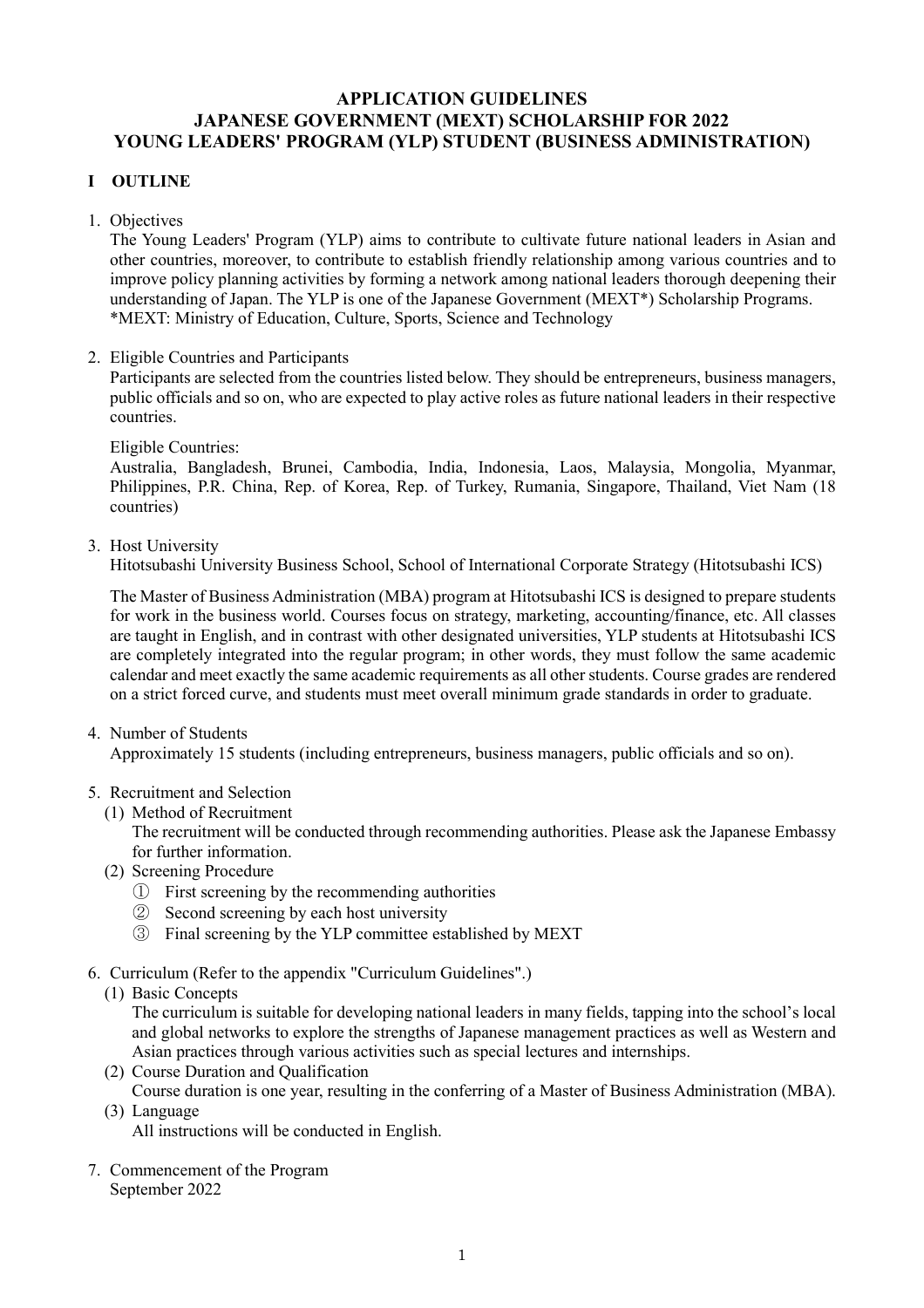# **APPLICATION GUIDELINES JAPANESE GOVERNMENT (MEXT) SCHOLARSHIP FOR 2022 YOUNG LEADERS' PROGRAM (YLP) STUDENT (BUSINESS ADMINISTRATION)**

# **I OUTLINE**

1. Objectives

The Young Leaders' Program (YLP) aims to contribute to cultivate future national leaders in Asian and other countries, moreover, to contribute to establish friendly relationship among various countries and to improve policy planning activities by forming a network among national leaders thorough deepening their understanding of Japan. The YLP is one of the Japanese Government (MEXT\*) Scholarship Programs. \*MEXT: Ministry of Education, Culture, Sports, Science and Technology

2. Eligible Countries and Participants

Participants are selected from the countries listed below. They should be entrepreneurs, business managers, public officials and so on, who are expected to play active roles as future national leaders in their respective countries.

Eligible Countries:

Australia, Bangladesh, Brunei, Cambodia, India, Indonesia, Laos, Malaysia, Mongolia, Myanmar, Philippines, P.R. China, Rep. of Korea, Rep. of Turkey, Rumania, Singapore, Thailand, Viet Nam (18 countries)

3. Host University

Hitotsubashi University Business School, School of International Corporate Strategy (Hitotsubashi ICS)

The Master of Business Administration (MBA) program at Hitotsubashi ICS is designed to prepare students for work in the business world. Courses focus on strategy, marketing, accounting/finance, etc. All classes are taught in English, and in contrast with other designated universities, YLP students at Hitotsubashi ICS are completely integrated into the regular program; in other words, they must follow the same academic calendar and meet exactly the same academic requirements as all other students. Course grades are rendered on a strict forced curve, and students must meet overall minimum grade standards in order to graduate.

4. Number of Students

Approximately 15 students (including entrepreneurs, business managers, public officials and so on).

- 5. Recruitment and Selection
	- (1) Method of Recruitment

The recruitment will be conducted through recommending authorities. Please ask the Japanese Embassy for further information.

- (2) Screening Procedure
	- ① First screening by the recommending authorities
	- ② Second screening by each host university
	- ③ Final screening by the YLP committee established by MEXT
- 6. Curriculum (Refer to the appendix "Curriculum Guidelines".)
	- (1) Basic Concepts

The curriculum is suitable for developing national leaders in many fields, tapping into the school's local and global networks to explore the strengths of Japanese management practices as well as Western and Asian practices through various activities such as special lectures and internships.

- (2) Course Duration and Qualification
- Course duration is one year, resulting in the conferring of a Master of Business Administration (MBA). (3) Language

All instructions will be conducted in English.

7. Commencement of the Program September 2022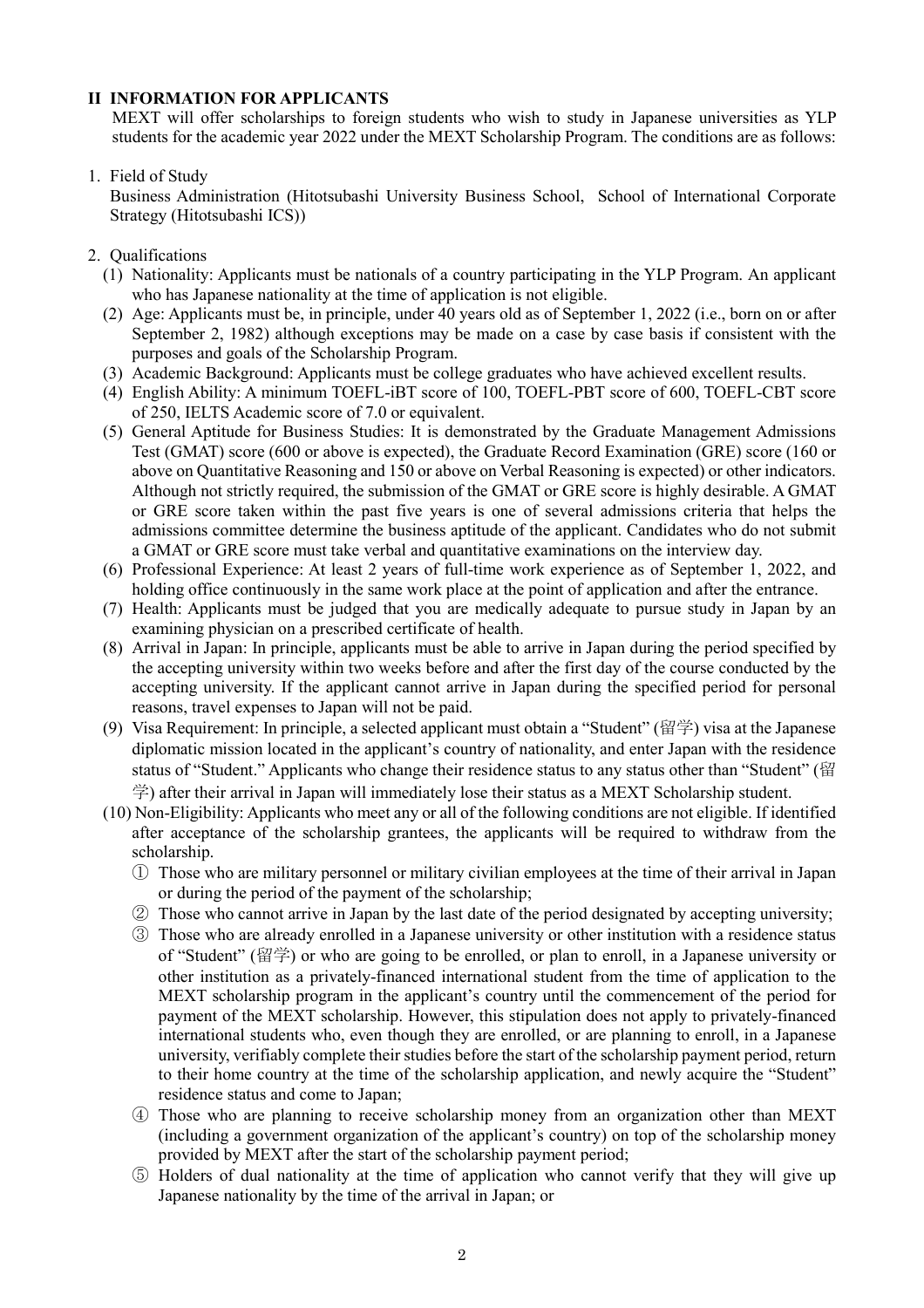#### **II INFORMATION FOR APPLICANTS**

MEXT will offer scholarships to foreign students who wish to study in Japanese universities as YLP students for the academic year 2022 under the MEXT Scholarship Program. The conditions are as follows:

#### 1. Field of Study

Business Administration (Hitotsubashi University Business School, School of International Corporate Strategy (Hitotsubashi ICS))

- 2. Qualifications
	- (1) Nationality: Applicants must be nationals of a country participating in the YLP Program. An applicant who has Japanese nationality at the time of application is not eligible.
	- (2) Age: Applicants must be, in principle, under 40 years old as of September 1, 2022 (i.e., born on or after September 2, 1982) although exceptions may be made on a case by case basis if consistent with the purposes and goals of the Scholarship Program.
	- (3) Academic Background: Applicants must be college graduates who have achieved excellent results.
	- (4) English Ability: A minimum TOEFL-iBT score of 100, TOEFL-PBT score of 600, TOEFL-CBT score of 250, IELTS Academic score of 7.0 or equivalent.
	- (5) General Aptitude for Business Studies: It is demonstrated by the Graduate Management Admissions Test (GMAT) score (600 or above is expected), the Graduate Record Examination (GRE) score (160 or above on Quantitative Reasoning and 150 or above on Verbal Reasoning is expected) or other indicators. Although not strictly required, the submission of the GMAT or GRE score is highly desirable. A GMAT or GRE score taken within the past five years is one of several admissions criteria that helps the admissions committee determine the business aptitude of the applicant. Candidates who do not submit a GMAT or GRE score must take verbal and quantitative examinations on the interview day.
	- (6) Professional Experience: At least 2 years of full-time work experience as of September 1, 2022, and holding office continuously in the same work place at the point of application and after the entrance.
	- (7) Health: Applicants must be judged that you are medically adequate to pursue study in Japan by an examining physician on a prescribed certificate of health.
	- (8) Arrival in Japan: In principle, applicants must be able to arrive in Japan during the period specified by the accepting university within two weeks before and after the first day of the course conducted by the accepting university. If the applicant cannot arrive in Japan during the specified period for personal reasons, travel expenses to Japan will not be paid.
	- (9) Visa Requirement: In principle, a selected applicant must obtain a "Student" (留学) visa at the Japanese diplomatic mission located in the applicant's country of nationality, and enter Japan with the residence status of "Student." Applicants who change their residence status to any status other than "Student" (留 学) after their arrival in Japan will immediately lose their status as a MEXT Scholarship student.
	- (10) Non-Eligibility: Applicants who meet any or all of the following conditions are not eligible. If identified after acceptance of the scholarship grantees, the applicants will be required to withdraw from the scholarship.
		- ① Those who are military personnel or military civilian employees at the time of their arrival in Japan or during the period of the payment of the scholarship;
		- ② Those who cannot arrive in Japan by the last date of the period designated by accepting university;
		- ③ Those who are already enrolled in a Japanese university or other institution with a residence status of "Student" (留学) or who are going to be enrolled, or plan to enroll, in a Japanese university or other institution as a privately-financed international student from the time of application to the MEXT scholarship program in the applicant's country until the commencement of the period for payment of the MEXT scholarship. However, this stipulation does not apply to privately-financed international students who, even though they are enrolled, or are planning to enroll, in a Japanese university, verifiably complete their studies before the start of the scholarship payment period, return to their home country at the time of the scholarship application, and newly acquire the "Student" residence status and come to Japan;
		- ④ Those who are planning to receive scholarship money from an organization other than MEXT (including a government organization of the applicant's country) on top of the scholarship money provided by MEXT after the start of the scholarship payment period;
		- ⑤ Holders of dual nationality at the time of application who cannot verify that they will give up Japanese nationality by the time of the arrival in Japan; or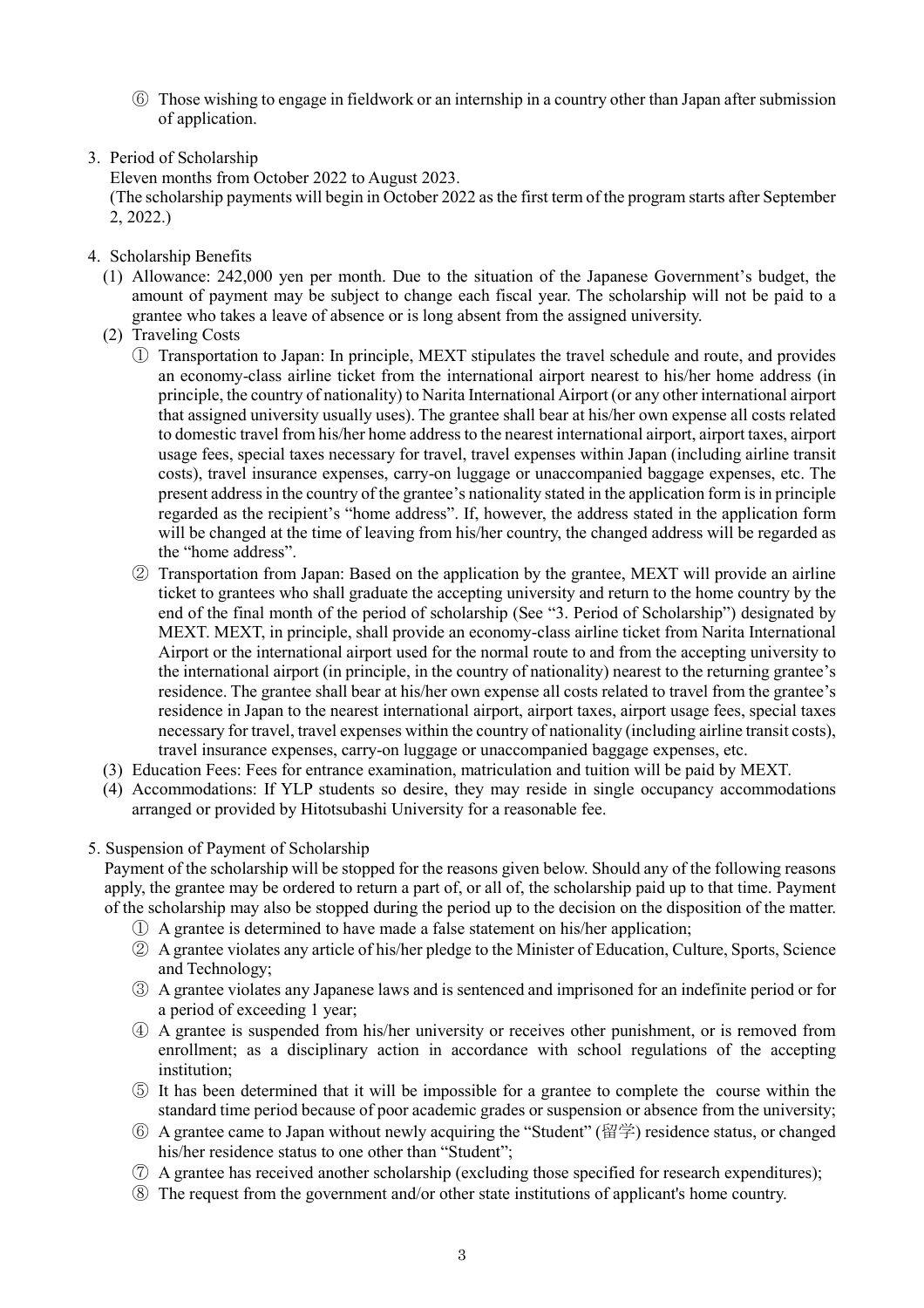- ⑥ Those wishing to engage in fieldwork or an internship in a country other than Japan after submission of application.
- 3. Period of Scholarship

Eleven months from October 2022 to August 2023.

(The scholarship payments will begin in October 2022 as the first term of the program starts after September 2, 2022.)

- 4. Scholarship Benefits
	- (1) Allowance: 242,000 yen per month. Due to the situation of the Japanese Government's budget, the amount of payment may be subject to change each fiscal year. The scholarship will not be paid to a grantee who takes a leave of absence or is long absent from the assigned university.
	- (2) Traveling Costs
		- ① Transportation to Japan: In principle, MEXT stipulates the travel schedule and route, and provides an economy-class airline ticket from the international airport nearest to his/her home address (in principle, the country of nationality) to Narita International Airport (or any other international airport that assigned university usually uses). The grantee shall bear at his/her own expense all costs related to domestic travel from his/her home addressto the nearest international airport, airport taxes, airport usage fees, special taxes necessary for travel, travel expenses within Japan (including airline transit costs), travel insurance expenses, carry-on luggage or unaccompanied baggage expenses, etc. The present addressin the country of the grantee's nationality stated in the application form isin principle regarded as the recipient's "home address". If, however, the address stated in the application form will be changed at the time of leaving from his/her country, the changed address will be regarded as the "home address".
		- ② Transportation from Japan: Based on the application by the grantee, MEXT will provide an airline ticket to grantees who shall graduate the accepting university and return to the home country by the end of the final month of the period of scholarship (See "3. Period of Scholarship") designated by MEXT. MEXT, in principle, shall provide an economy-class airline ticket from Narita International Airport or the international airport used for the normal route to and from the accepting university to the international airport (in principle, in the country of nationality) nearest to the returning grantee's residence. The grantee shall bear at his/her own expense all costs related to travel from the grantee's residence in Japan to the nearest international airport, airport taxes, airport usage fees, special taxes necessary for travel, travel expenses within the country of nationality (including airline transit costs), travel insurance expenses, carry-on luggage or unaccompanied baggage expenses, etc.
	- (3) Education Fees: Fees for entrance examination, matriculation and tuition will be paid by MEXT.
	- (4) Accommodations: If YLP students so desire, they may reside in single occupancy accommodations arranged or provided by Hitotsubashi University for a reasonable fee.
- 5. Suspension of Payment of Scholarship

Payment of the scholarship will be stopped for the reasons given below. Should any of the following reasons apply, the grantee may be ordered to return a part of, or all of, the scholarship paid up to that time. Payment of the scholarship may also be stopped during the period up to the decision on the disposition of the matter.

- ① A grantee is determined to have made a false statement on his/her application;
- ② A grantee violates any article of his/her pledge to the Minister of Education, Culture, Sports, Science and Technology;
- ③ A grantee violates any Japanese laws and is sentenced and imprisoned for an indefinite period or for a period of exceeding 1 year;
- ④ A grantee is suspended from his/her university or receives other punishment, or is removed from enrollment; as a disciplinary action in accordance with school regulations of the accepting institution;
- ⑤ It has been determined that it will be impossible for a grantee to complete the course within the standard time period because of poor academic grades or suspension or absence from the university;
- ⑥ A grantee came to Japan without newly acquiring the "Student" (留学) residence status, or changed his/her residence status to one other than "Student";
- ⑦ A grantee has received another scholarship (excluding those specified for research expenditures);
- ⑧ The request from the government and/or other state institutions of applicant's home country.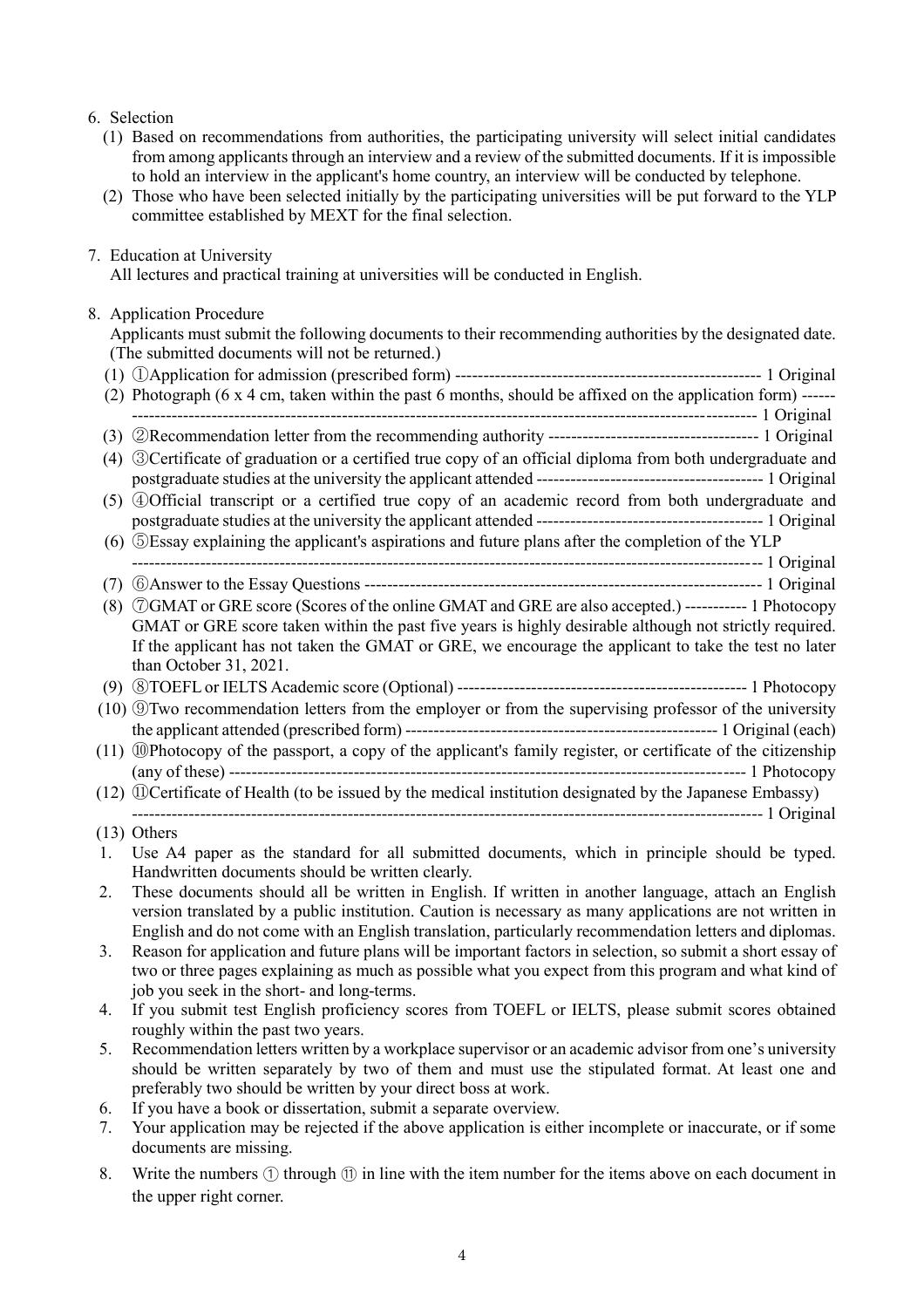### 6. Selection

- (1) Based on recommendations from authorities, the participating university will select initial candidates from among applicants through an interview and a review of the submitted documents. If it is impossible to hold an interview in the applicant's home country, an interview will be conducted by telephone.
- (2) Those who have been selected initially by the participating universities will be put forward to the YLP committee established by MEXT for the final selection.

#### 7. Education at University

All lectures and practical training at universities will be conducted in English.

#### 8. Application Procedure

Applicants must submit the following documents to their recommending authorities by the designated date. (The submitted documents will not be returned.)

| (2) | Photograph (6 x 4 cm, taken within the past 6 months, should be affixed on the application form) ------                                 |
|-----|-----------------------------------------------------------------------------------------------------------------------------------------|
|     |                                                                                                                                         |
| (3) |                                                                                                                                         |
| (4) | <sup>3</sup> 3 Certificate of graduation or a certified true copy of an official diploma from both undergraduate and                    |
|     |                                                                                                                                         |
|     | (5) 4 Official transcript or a certified true copy of an academic record from both undergraduate and                                    |
|     |                                                                                                                                         |
|     | (6) 5Essay explaining the applicant's aspirations and future plans after the completion of the YLP                                      |
|     |                                                                                                                                         |
| (7) |                                                                                                                                         |
| (8) | <b>OGMAT</b> or GRE score (Scores of the online GMAT and GRE are also accepted.) ----------- 1 Photocopy                                |
|     | GMAT or GRE score taken within the past five years is highly desirable although not strictly required.                                  |
|     | If the applicant has not taken the GMAT or GRE, we encourage the applicant to take the test no later                                    |
|     | than October 31, 2021.                                                                                                                  |
|     |                                                                                                                                         |
|     | (10) Two recommendation letters from the employer or from the supervising professor of the university                                   |
|     |                                                                                                                                         |
|     | (11) @Photocopy of the passport, a copy of the applicant's family register, or certificate of the citizenship                           |
|     |                                                                                                                                         |
|     | (12) <sup>1</sup> (12) <sup>1</sup> (DCertificate of Health (to be issued by the medical institution designated by the Japanese Embassy |
|     |                                                                                                                                         |
|     | $(13)$ Others                                                                                                                           |
| 1.  | Use A4 paper as the standard for all submitted documents, which in principle should be typed.                                           |
|     | Handwritten documents should be written clearly.                                                                                        |

- 2. These documents should all be written in English. If written in another language, attach an English version translated by a public institution. Caution is necessary as many applications are not written in English and do not come with an English translation, particularly recommendation letters and diplomas.
- 3. Reason for application and future plans will be important factors in selection, so submit a short essay of two or three pages explaining as much as possible what you expect from this program and what kind of job you seek in the short- and long-terms.
- 4. If you submit test English proficiency scores from TOEFL or IELTS, please submit scores obtained roughly within the past two years.
- 5. Recommendation letters written by a workplace supervisor or an academic advisor from one's university should be written separately by two of them and must use the stipulated format. At least one and preferably two should be written by your direct boss at work.
- 6. If you have a book or dissertation, submit a separate overview.
- 7. Your application may be rejected if the above application is either incomplete or inaccurate, or if some documents are missing.
- 8. Write the numbers ① through ⑪ in line with the item number for the items above on each document in the upper right corner.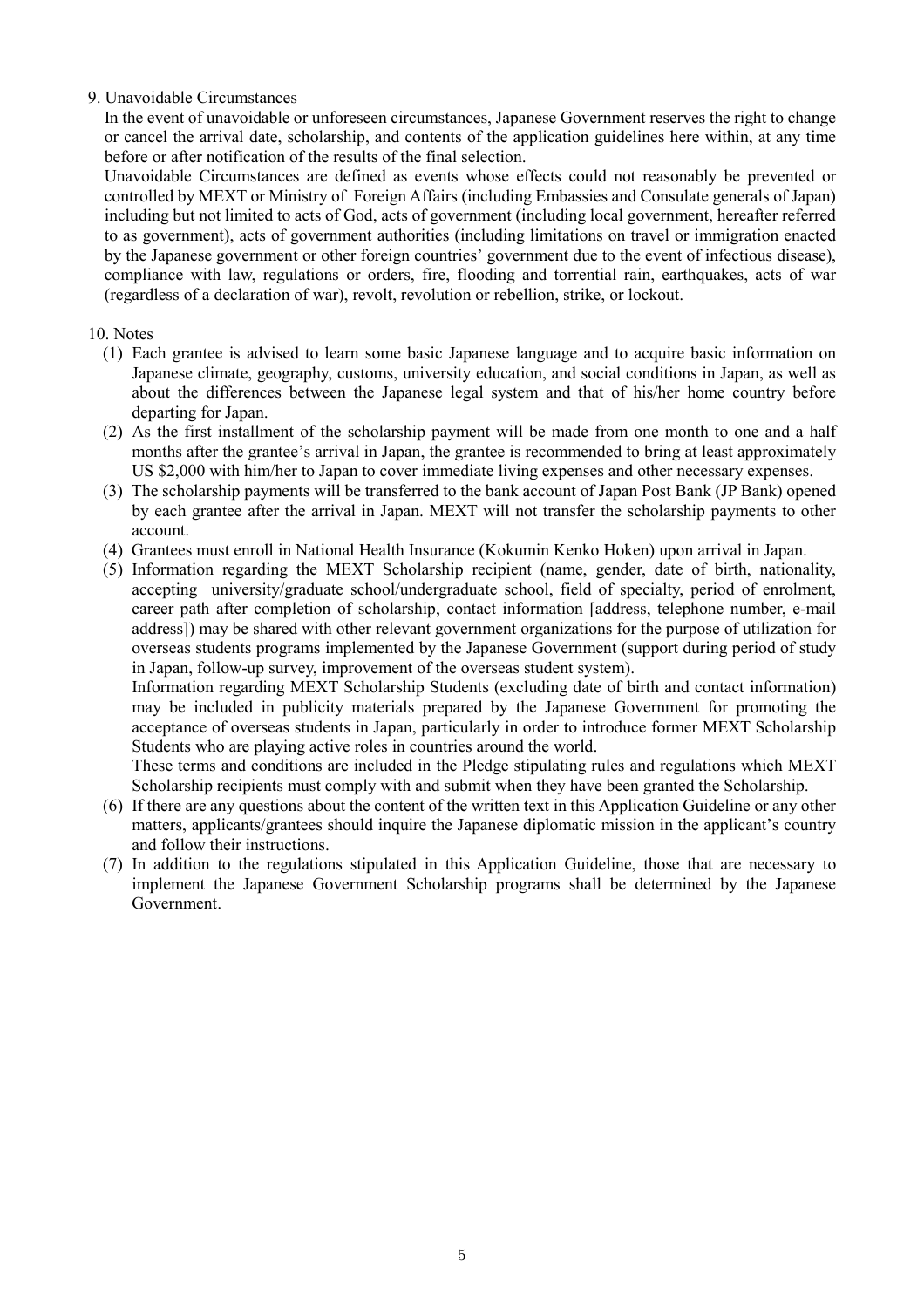#### 9. Unavoidable Circumstances

In the event of unavoidable or unforeseen circumstances, Japanese Government reserves the right to change or cancel the arrival date, scholarship, and contents of the application guidelines here within, at any time before or after notification of the results of the final selection.

Unavoidable Circumstances are defined as events whose effects could not reasonably be prevented or controlled by MEXT or Ministry of Foreign Affairs (including Embassies and Consulate generals of Japan) including but not limited to acts of God, acts of government (including local government, hereafter referred to as government), acts of government authorities (including limitations on travel or immigration enacted by the Japanese government or other foreign countries' government due to the event of infectious disease), compliance with law, regulations or orders, fire, flooding and torrential rain, earthquakes, acts of war (regardless of a declaration of war), revolt, revolution or rebellion, strike, or lockout.

#### 10. Notes

- (1) Each grantee is advised to learn some basic Japanese language and to acquire basic information on Japanese climate, geography, customs, university education, and social conditions in Japan, as well as about the differences between the Japanese legal system and that of his/her home country before departing for Japan.
- (2) As the first installment of the scholarship payment will be made from one month to one and a half months after the grantee's arrival in Japan, the grantee is recommended to bring at least approximately US \$2,000 with him/her to Japan to cover immediate living expenses and other necessary expenses.
- (3) The scholarship payments will be transferred to the bank account of Japan Post Bank (JP Bank) opened by each grantee after the arrival in Japan. MEXT will not transfer the scholarship payments to other account.
- (4) Grantees must enroll in National Health Insurance (Kokumin Kenko Hoken) upon arrival in Japan.
- (5) Information regarding the MEXT Scholarship recipient (name, gender, date of birth, nationality, accepting university/graduate school/undergraduate school, field of specialty, period of enrolment, career path after completion of scholarship, contact information [address, telephone number, e-mail address]) may be shared with other relevant government organizations for the purpose of utilization for overseas students programs implemented by the Japanese Government (support during period of study in Japan, follow-up survey, improvement of the overseas student system).

Information regarding MEXT Scholarship Students (excluding date of birth and contact information) may be included in publicity materials prepared by the Japanese Government for promoting the acceptance of overseas students in Japan, particularly in order to introduce former MEXT Scholarship Students who are playing active roles in countries around the world.

These terms and conditions are included in the Pledge stipulating rules and regulations which MEXT Scholarship recipients must comply with and submit when they have been granted the Scholarship.

- (6) If there are any questions about the content of the written text in this Application Guideline or any other matters, applicants/grantees should inquire the Japanese diplomatic mission in the applicant's country and follow their instructions.
- (7) In addition to the regulations stipulated in this Application Guideline, those that are necessary to implement the Japanese Government Scholarship programs shall be determined by the Japanese Government.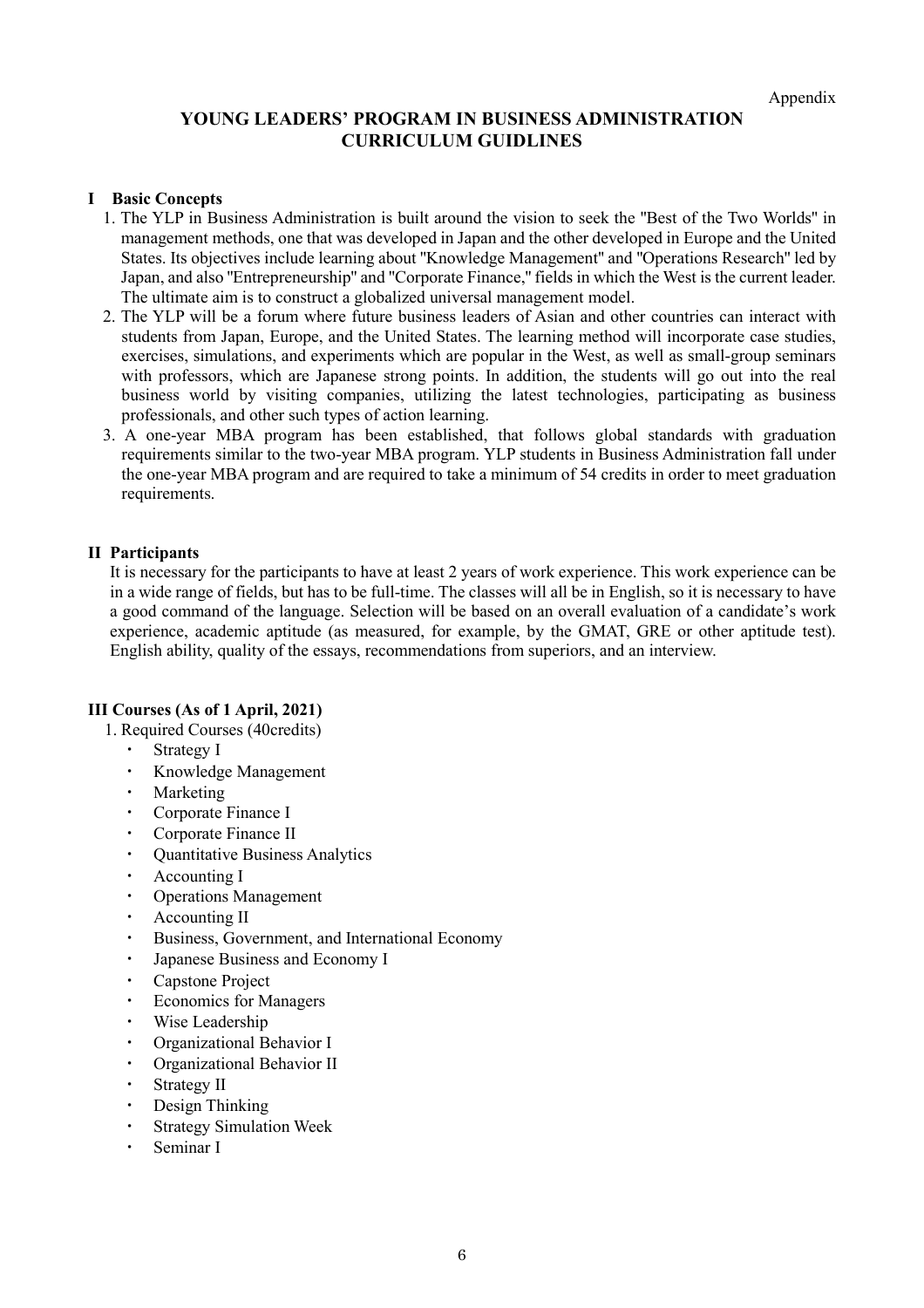# **YOUNG LEADERS' PROGRAM IN BUSINESS ADMINISTRATION CURRICULUM GUIDLINES**

#### **I Basic Concepts**

- 1. The YLP in Business Administration is built around the vision to seek the ''Best of the Two Worlds'' in management methods, one that was developed in Japan and the other developed in Europe and the United States. Its objectives include learning about ''Knowledge Management'' and ''Operations Research'' led by Japan, and also ''Entrepreneurship'' and ''Corporate Finance,'' fields in which the West is the current leader. The ultimate aim is to construct a globalized universal management model.
- 2. The YLP will be a forum where future business leaders of Asian and other countries can interact with students from Japan, Europe, and the United States. The learning method will incorporate case studies, exercises, simulations, and experiments which are popular in the West, as well as small-group seminars with professors, which are Japanese strong points. In addition, the students will go out into the real business world by visiting companies, utilizing the latest technologies, participating as business professionals, and other such types of action learning.
- 3. A one-year MBA program has been established, that follows global standards with graduation requirements similar to the two-year MBA program. YLP students in Business Administration fall under the one-year MBA program and are required to take a minimum of 54 credits in order to meet graduation requirements.

## **II Participants**

It is necessary for the participants to have at least 2 years of work experience. This work experience can be in a wide range of fields, but has to be full-time. The classes will all be in English, so it is necessary to have a good command of the language. Selection will be based on an overall evaluation of a candidate's work experience, academic aptitude (as measured, for example, by the GMAT, GRE or other aptitude test). English ability, quality of the essays, recommendations from superiors, and an interview.

## **III Courses (As of 1 April, 2021)**

- 1. Required Courses (40credits)
	- Strategy I
	- ・ Knowledge Management
	- **Marketing**
	- Corporate Finance I
	- Corporate Finance II
	- Quantitative Business Analytics
	- ・ Accounting I
	- **Operations Management**
	- ・ Accounting II
	- Business, Government, and International Economy
	- Japanese Business and Economy I
	- ・ Capstone Project
	- ・ Economics for Managers
	- ・ Wise Leadership
	- Organizational Behavior I
	- Organizational Behavior II
	- ・ Strategy II
	- Design Thinking
	- **Strategy Simulation Week**
	- Seminar I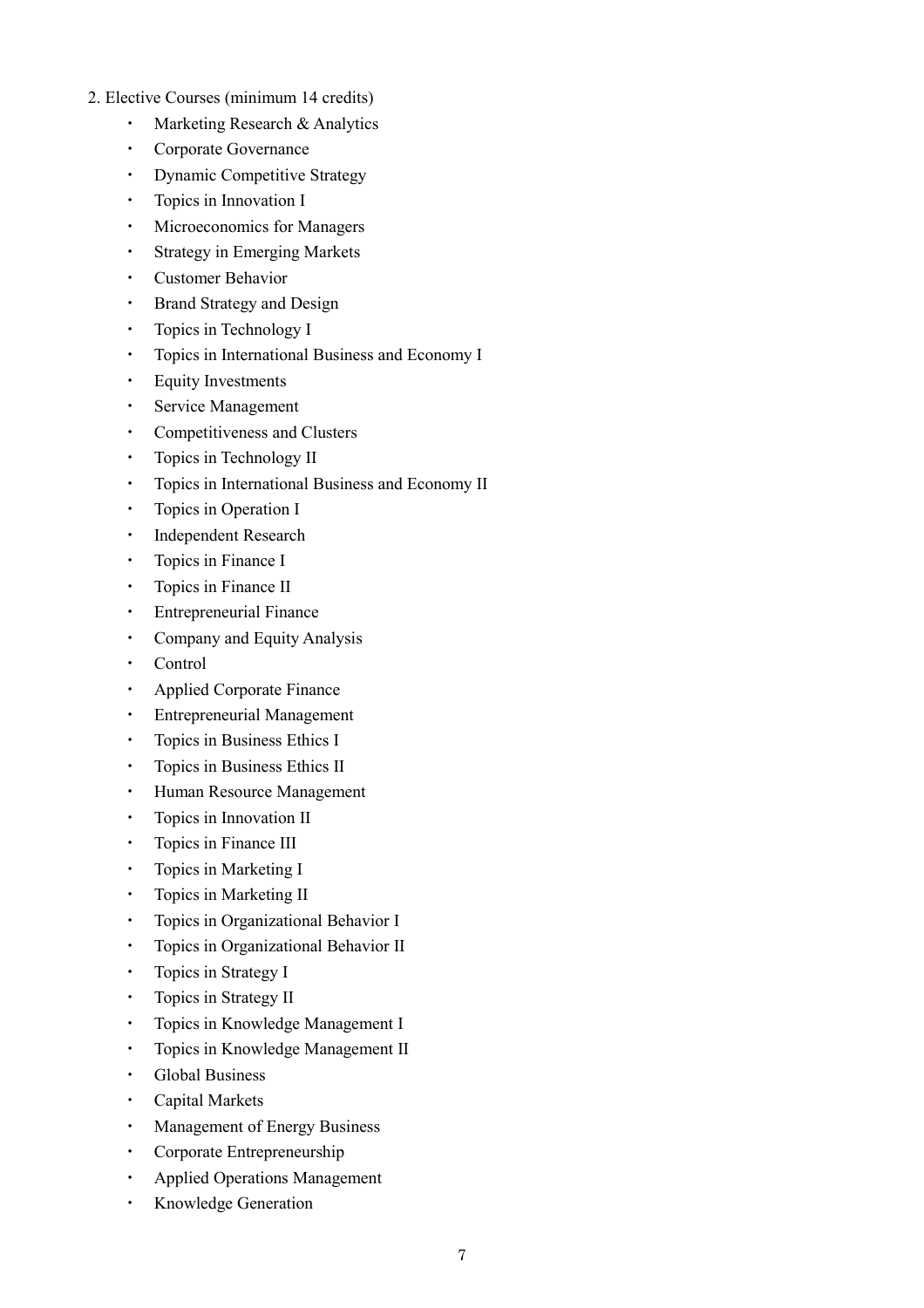- 2. Elective Courses (minimum 14 credits)
	- Marketing Research & Analytics
	- ・ Corporate Governance
	- Dynamic Competitive Strategy
	- ・ Topics in Innovation I
	- Microeconomics for Managers
	- ・ Strategy in Emerging Markets
	- **Customer Behavior**
	- ・ Brand Strategy and Design
	- Topics in Technology I
	- Topics in International Business and Economy I
	- **Equity Investments**
	- ・ Service Management
	- ・ Competitiveness and Clusters
	- ・ Topics in Technology II
	- ・ Topics in International Business and Economy II
	- ・ Topics in Operation I
	- ・ Independent Research
	- Topics in Finance I
	- ・ Topics in Finance II
	- **Entrepreneurial Finance**
	- Company and Equity Analysis
	- **Control**
	- **Applied Corporate Finance**
	- **Entrepreneurial Management**
	- Topics in Business Ethics I
	- ・ Topics in Business Ethics II
	- ・ Human Resource Management
	- Topics in Innovation II
	- Topics in Finance III
	- Topics in Marketing I
	- ・ Topics in Marketing II
	- ・ Topics in Organizational Behavior I
	- ・ Topics in Organizational Behavior II
	- ・ Topics in Strategy I
	- ・ Topics in Strategy II
	- ・ Topics in Knowledge Management I
	- ・ Topics in Knowledge Management II
	- ・ Global Business
	- **Capital Markets**
	- Management of Energy Business
	- Corporate Entrepreneurship
	- ・ Applied Operations Management
	- Knowledge Generation